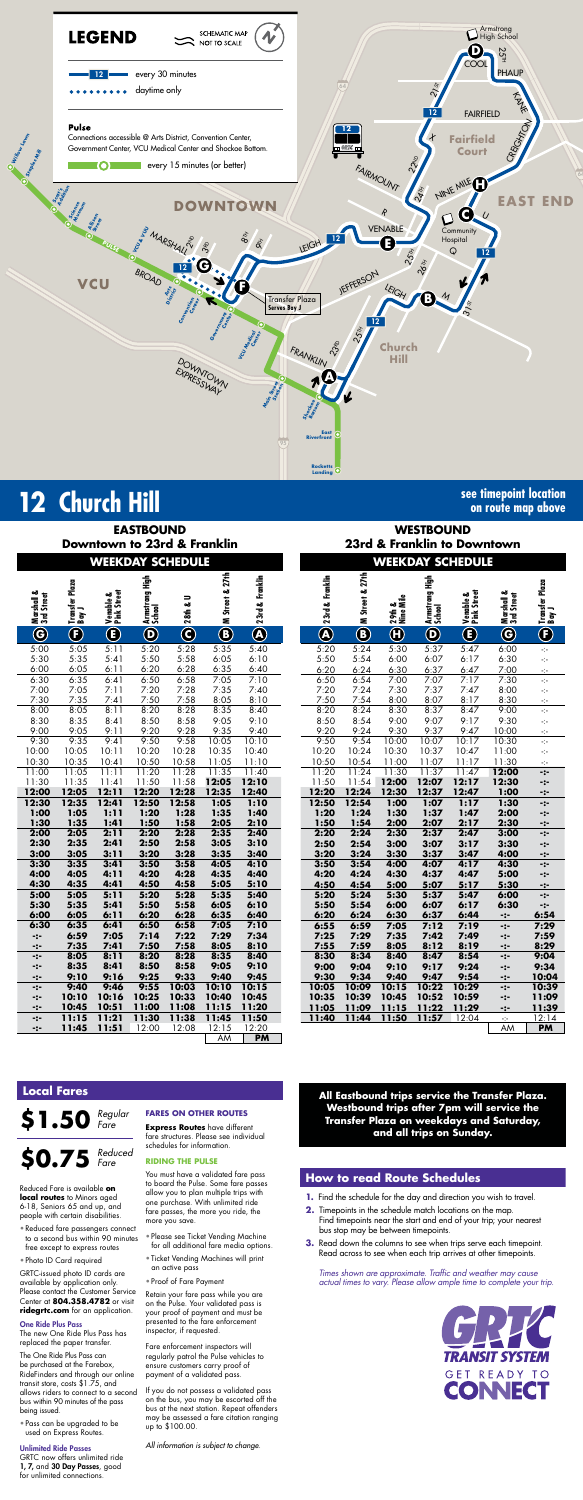

## **12** Church Hill **Signal Church Hill see timepoint location**

**on route map above**

## **WESTBOUND 23rd & Franklin to Downtown**

|                          |                            |                          | <b>EASTBOUND</b>            |                         |                 |                 |                 |                           |                          | <b>WESTBOUND</b>         |                          |  |
|--------------------------|----------------------------|--------------------------|-----------------------------|-------------------------|-----------------|-----------------|-----------------|---------------------------|--------------------------|--------------------------|--------------------------|--|
|                          |                            |                          | Downtown to 23rd & Franklin |                         |                 |                 |                 |                           |                          |                          | 23rd & Franklin to Downt |  |
|                          |                            |                          | <b>WEEKDAY SCHEDULE</b>     |                         |                 |                 |                 |                           |                          |                          | <b>WEEKDAY SCHEDULE</b>  |  |
| Marshall &<br>3rd Street | Transfer Plaza<br>  Bay J  | Venable &<br>Pink Street | Armstrong High<br>School    | 28th & U                | M Street & 27th | 23rd & Franklin | 23rd & Franklin | M Street & 27th           | 29th &<br>Nine Mile      | Armstrong High<br>School | Venable &<br>Pink Street |  |
| $\bf G$                  | $\left( \mathbf{F}\right)$ | $\bigcirc$               | $\boldsymbol{\Theta}$       | $\overline{\mathbf{C}}$ | $\bigcirc$      | $\bigcircledR$  | $\bigcircledA$  | $\textcircled{\small{1}}$ | $\overline{\bm{\theta}}$ | $\overline{\mathbf{O}}$  | $\overline{\mathbf{C}}$  |  |
| 5:00                     | 5:05                       | 5:11                     | 5:20                        | 5:28                    | 5:35            | 5:40            | 5:20            | 5:24                      | 5:30                     | 5:37                     | 5:47                     |  |
| 5:30                     | 5:35                       | 5:41                     | 5:50                        | 5:58                    | 6:05            | 6:10            | 5:50            | 5:54                      | 6:00                     | 6:07                     | 6:17                     |  |
| 6:00                     | 6:05                       | 6:11                     | 6:20                        | 6:28                    | 6:35            | 6:40            | 6:20            | 6:24                      | 6:30                     | 6:37                     | 6:47                     |  |
| 6:30                     | 6:35                       | 6:41                     | 6:50                        | 6:58                    | 7:05            | 7:10            | 6:50            | 6:54                      | 7:00                     | 7:07                     | 7:17                     |  |
| 7:00                     | 7:05                       | 7:11                     | 7:20                        | 7:28                    | 7:35            | 7:40            | 7:20            | 7:24                      | 7:30                     | 7:37                     | 7:47                     |  |
| 7:30                     | 7:35                       | 7:41                     | 7:50                        | 7:58                    | 8:05            | 8:10            | 7:50            | 7:54                      | 8:00                     | 8:07                     | 8:17                     |  |
| 8:00                     | 8:05                       | 8:11                     | 8:20                        | 8:28                    | 8:35            | 8:40            | 8:20            | 8:24                      | 8:30                     | 8:37                     | 8:47                     |  |
| 8:30                     | 8:35                       | 8:41                     | 8:50                        | 8:58                    | 9:05            | 9:10            | 8:50            | 8:54                      | 9:00                     | 9:07                     | 9:17                     |  |
| 9:00                     | 9:05                       | 9:11                     | 9:20                        | 9:28                    | 9:35            | 9:40            | 9:20            | 9:24                      | 9:30                     | 9:37                     | 9:47                     |  |
| 9:30                     | 9:35                       | 9:41                     | 9:50                        | 9:58                    | 10:05           | 10:10           | 9:50            | 9:54                      | 10:00                    | 10:07                    | 10:17                    |  |
| 10:00                    | 10:05                      | 10:11                    | 10:20                       | 10:28                   | 10:35           | 10:40           | 10:20           | 10:24                     | 10:30                    | 10:37                    | 10:47                    |  |
| 10:30                    | 10:35                      | 10:41                    | 10:50                       | 10:58                   | 11:05           | 11:10           | 10:50           | 10:54                     | 11:00                    | 11:07                    | 11:17                    |  |
| 11:00                    | 11:05                      | 11:11                    | 11:20                       | 11:28                   | 11:35           | 11:40           | 11:20           | 11:24                     | 11:30                    | 11:37                    | 11:47                    |  |
| 11:30                    | 11:35                      | 11:41                    | 11:50                       | 11:58                   | 12:05           | 12:10           | 11:50           | 11:54                     | 12:00                    | 12:07                    | 12:17                    |  |
| 12:00                    | 12:05                      | 12:11                    | 12:20                       | 12:28                   | 12:35           | 12:40           | 12:20           | 12:24                     | 12:30                    | 12:37                    | 12:47                    |  |
| 12:30                    | 12:35                      | 12:41                    | 12:50                       | 12:58                   | 1:05            | 1:10            | 12:50           | 12:54                     | 1:00                     | 1:07                     | 1:17                     |  |
| 1:00                     | 1:05                       | 1:11                     | 1:20                        | 1:28                    | 1:35            | 1:40            | 1:20            | 1:24                      | 1:30                     | 1:37                     | 1:47                     |  |
| 1:30                     | 1:35                       | 1:41                     | 1:50                        | 1:58                    | 2:05            | 2:10            | 1:50            | 1:54                      | 2:00                     | 2:07                     | 2:17                     |  |
| 2:00                     | 2:05                       | 2:11                     | 2:20                        | 2:28                    | 2:35            | 2:40            | 2:20            | 2:24                      | 2:30                     | 2:37                     | 2:47                     |  |
| 2:30                     | 2:35                       | 2:41                     | 2:50                        | 2:58                    | 3:05            | 3:10            | 2:50            | 2:54                      | 3:00                     | 3:07                     | 3:17                     |  |
| 3:00                     | 3:05                       | 3:11                     | 3:20                        | 3:28                    | 3:35            | 3:40            | 3:20            | 3:24                      | 3:30                     | 3:37                     | 3:47                     |  |
| 3:30                     | 3:35                       | 3:41                     | 3:50                        | 3:58                    | 4:05            | 4:10            | 3:50            | 3:54                      | 4:00                     | 4:07                     | 4:17                     |  |
| 4:00                     | 4:05                       | 4:11                     | 4:20                        | 4:28                    | 4:35            | 4:40            | 4:20            | 4:24                      | 4:30                     | 4:37                     | 4:47                     |  |
| 4:30                     | 4:35                       | 4:41                     | 4:50                        | 4:58                    | 5:05<br>5:35    | 5:10            | 4:50            | 4:54                      | 5:00<br>5:30             | 5:07                     | 5:17                     |  |
| 5:00<br>5:30             | 5:05<br>5:35               | 5:11<br>5:41             | 5:20<br>5:50                | 5:28<br>5:58            | 6:05            | 5:40<br>6:10    | 5:20<br>5:50    | 5:24<br>5:54              | 6:00                     | 5:37<br>6:07             | 5:47<br>6:17             |  |
| 6:00                     | 6:05                       | 6:11                     | 6:20                        | 6:28                    | 6:35            | 6:40            | 6:20            | 6:24                      | 6:30                     | 6:37                     | 6:44                     |  |
| 6:30                     | 6:35                       | 6:41                     | 6:50                        | 6:58                    | 7:05            | 7:10            | 6:55            | 6:59                      | 7:05                     | 7:12                     | 7:19                     |  |
| -:-                      | 6:59                       | 7:05                     | 7:14                        | 7:22                    | 7:29            | 7:34            | 7:25            | 7:29                      | 7:35                     | 7:42                     | 7:49                     |  |
| -:-                      | 7:35                       | 7:41                     | 7:50                        | 7:58                    | 8:05            | 8:10            | 7:55            | 7:59                      | 8:05                     | 8:12                     | 8:19                     |  |
| -:-                      | 8:05                       | 8:11                     | 8:20                        | 8:28                    | 8:35            | 8:40            | 8:30            | 8:34                      | 8:40                     | 8:47                     | 8:54                     |  |
| -:-                      | 8:35                       | 8:41                     | 8:50                        | 8:58                    | 9:05            | 9:10            | 9:00            | 9:04                      | 9:10                     | 9:17                     | 9:24                     |  |
| -:-                      | 9:10                       | 9:16                     | 9:25                        | 9:33                    | 9:40            | 9:45            | 9:30            | 9:34                      | 9:40                     | 9:47                     | 9:54                     |  |
| -:-                      | 9:40                       | 9:46                     | 9:55                        | 10:03                   | 10:10           | 10:15           | 10:05           | 10:09                     | 10:15                    | 10:22                    | 10:29                    |  |
| -:-                      | 10:10                      | 10:16                    | 10:25                       | 10:33                   | 10:40           | 10:45           | 10:35           | 10:39                     | 10:45                    | 10:52                    | 10:59                    |  |
| $-2-$                    | 10:45                      | 10:51                    | 11:00                       | 11:08                   | 11:15           | 11:20           | 11:05           | 11:09                     | 11:15                    | 11:22                    | 11:29                    |  |
| -:-                      | 11:15                      | 11:21                    | 11:30                       | 11:38                   | 11:45           | 11:50           | 11:40           | 11:44                     | 11:50                    | <u>11:57</u>             | 12:04                    |  |
| $-:-$                    | 11:45                      | 11:51                    | 12:00                       | 12:08                   | 12:15           | 12:20           |                 |                           |                          |                          |                          |  |
|                          |                            |                          |                             |                         | AM              | <b>PM</b>       |                 |                           |                          |                          |                          |  |

*Times shown are approximate. Traffic and weather may cause actual times to vary. Please allow ample time to complete your trip.*



| <u>WEEKDAY SCHEDULE</u> |                         |                          |                            |                            |                         | <u>WEEKDAY SCHEDULE</u>  |                         |                           |                          |                                |                          |                               |                               |
|-------------------------|-------------------------|--------------------------|----------------------------|----------------------------|-------------------------|--------------------------|-------------------------|---------------------------|--------------------------|--------------------------------|--------------------------|-------------------------------|-------------------------------|
| 3rd Street              | Transfer Plaza<br>Bay J | Venable &<br>Pink Street | 흏<br>Armstrong I<br>School | $\Rightarrow$<br>$28$ th & | M Street & 27th         | 23rd & Franklin          | 23rd & Franklin         | <b>ED</b> M Street & 27th | ᇦᇕ<br>29the I            | 들<br>  Armstrong  <br>  School | Venable &<br>Pink Street | ఱ<br>Marshall &<br>3rd Street | Transfer Plaza<br>Bay J       |
| $\widehat{\mathbf{G}}$  | $\mathbf \Theta$        | $\overline{\textbf{C}}$  | $\overline{\mathbf{C}}$    | $\overline{\mathbf{C}}$    | $\overline{\mathbf{C}}$ | $\overline{\circledast}$ | $\overline{\mathbf{C}}$ |                           | $\overline{\bm{\theta}}$ | $\overline{\mathbf{C}}$        | $\overline{\mathbf{C}}$  | $\bf G$                       | $\overline{\textbf{E}}$       |
| $\overline{.00}$        | 5:05                    | 5:11                     | 5:20                       | 5:28                       | 5:35                    | 5:40                     | 5:20                    | 5:24                      | 5:30                     | 5:37                           | 5:47                     | 6:00                          | $\gamma_{\tau}$               |
| :30                     | 5:35                    | 5:41                     | 5:50                       | 5:58                       | 6:05                    | 6:10                     | 5:50                    | 5:54                      | 6:00                     | 6:07                           | 6:17                     | 6:30                          | $\mathbb{H}^2_{\mathbb{R}^2}$ |
| .00                     | 6:05                    | 6:11                     | 6:20                       | 6:28                       | 6:35                    | 6:40                     | 6:20                    | 6:24                      | 6:30                     | 6:37                           | 6:47                     | 7:00                          | ÷                             |
| 30                      | 6:35                    | 6:41                     | 6:50                       | 6:58                       | 7:05                    | 7:10                     | 6:50                    | 6:54                      | 7:00                     | 7:07                           | 7:17                     | 7:30                          | Ą.                            |
| .00                     | 7:05                    | 7:11                     | 7:20                       | 7:28                       | 7:35                    | 7:40                     | 7:20                    | 7:24                      | 7:30                     | 7:37                           | 7:47                     | 8:00                          | ÷                             |
| :30                     | 7:35                    | 7:41                     | 7:50                       | 7:58                       | 8:05                    | 8:10                     | 7:50                    | 7:54                      | 8:00                     | 8:07                           | 8:17                     | 8:30                          | ÷                             |
| :00                     | 8:05                    | 8:11                     | 8:20                       | 8:28                       | 8:35                    | 8:40                     | 8:20                    | 8:24                      | 8:30                     | 8:37                           | 8:47                     | 9:00                          | $\mathbb{R}^2_{\mathbb{Z}^2}$ |
| :30                     | 8:35                    | 8:41                     | 8:50                       | 8:58                       | 9:05                    | 9:10                     | 8:50                    | 8:54                      | 9:00                     | 9:07                           | 9:17                     | 9:30                          | $\mathbb{H}^2_{\mathbb{R}^2}$ |
| :00                     | 9:05                    | 9:11                     | 9:20                       | 9:28                       | 9:35                    | 9:40                     | 9:20                    | 9:24                      | 9:30                     | 9:37                           | 9:47                     | 10:00                         | ÷                             |
| :30                     | 9:35                    | 9:41                     | 9:50                       | 9:58                       | 10:05                   | 10:10                    | 9:50                    | 9:54                      | 10:00                    | 10:07                          | 10:17                    | 10:30                         | $\frac{1}{2}$                 |
| :00                     | 10:05                   | 10:11                    | 10:20                      | 10:28                      | 10:35                   | 10:40                    | 10:20                   | 10:24                     | 10:30                    | 10:37                          | 10:47                    | 11:00                         | ÷                             |
| :30                     | 10:35                   | 10:41                    | 10:50                      | 10:58<br>11:28             | 11:05<br>11:35          | 11:10                    | 10:50                   | 10:54<br>11:24            | 11:00<br>11:30           | 11:07<br>11:37                 | 11:17                    | 11:30                         | ÷                             |
| :00<br>:30              | 11:05<br>11:35          | 11:11<br>11:41           | 11:20<br>11:50             | 11:58                      | 12:05                   | 11:40<br>12:10           | 11:20<br>11:50          | 11:54                     | 12:00                    | 12:07                          | 11:47<br>12:17           | 12:00<br>12:30                | $-2-$                         |
| :00                     | 12:05                   | 12:11                    | 12:20                      | 12:28                      | 12:35                   | 12:40                    | 12:20                   | 12:24                     | 12:30                    | 12:37                          | 12:47                    | 1:00                          | -:-                           |
| :30                     | 12:35                   | 12:41                    | 12:50                      | 12:58                      | 1:05                    | 1:10                     | 12:50                   | 12:54                     | 1:00                     | 1:07                           | 1:17                     | 1:30                          | $-2-$<br>-:-                  |
| :00                     | 1:05                    | 1:11                     | 1:20                       | 1:28                       | 1:35                    | 1:40                     | 1:20                    | 1:24                      | 1:30                     | 1:37                           | 1:47                     | 2:00                          | $-2-$                         |
| :30                     | 1:35                    | 1:41                     | 1:50                       | 1:58                       | 2:05                    | 2:10                     | 1:50                    | 1:54                      | 2:00                     | 2:07                           | 2:17                     | 2:30                          | -:-                           |
| :00                     | 2:05                    | 2:11                     | 2:20                       | 2:28                       | 2:35                    | 2:40                     | 2:20                    | 2:24                      | 2:30                     | 2:37                           | 2:47                     | 3:00                          | $-2-$                         |
| :30                     | 2:35                    | 2:41                     | 2:50                       | 2:58                       | 3:05                    | 3:10                     | 2:50                    | 2:54                      | 3:00                     | 3:07                           | 3:17                     | 3:30                          | $-2-$                         |
| :00                     | 3:05                    | 3:11                     | 3:20                       | 3:28                       | 3:35                    | 3:40                     | 3:20                    | 3:24                      | 3:30                     | 3:37                           | 3:47                     | 4:00                          | $-2-$                         |
| :30                     | 3:35                    | 3:41                     | 3:50                       | 3:58                       | 4:05                    | 4:10                     | 3:50                    | 3:54                      | 4:00                     | 4:07                           | 4:17                     | 4:30                          | -:-                           |
| :00                     | 4:05                    | 4:11                     | 4:20                       | 4:28                       | 4:35                    | 4:40                     | 4:20                    | 4:24                      | 4:30                     | 4:37                           | 4:47                     | 5:00                          | $-2-$                         |
| :30                     | 4:35                    | 4:41                     | 4:50                       | 4:58                       | 5:05                    | 5:10                     | 4:50                    | 4:54                      | 5:00                     | 5:07                           | 5:17                     | 5:30                          | $-2-$                         |
| :00                     | 5:05                    | 5:11                     | 5:20                       | 5:28                       | 5:35                    | 5:40                     | 5:20                    | 5:24                      | 5:30                     | 5:37                           | 5:47                     | 6:00                          | $-2-$                         |
| :30                     | 5:35                    | 5:41                     | 5:50                       | 5:58                       | 6:05                    | 6:10                     | 5:50                    | 5:54                      | 6:00                     | 6:07                           | 6:17                     | 6:30                          | -:-                           |
| :00                     | 6:05                    | 6:11                     | 6:20                       | 6:28                       | 6:35                    | 6:40                     | 6:20                    | 6:24                      | 6:30                     | 6:37                           | 6:44                     | -:-                           | 6:54                          |
| :30                     | 6:35                    | 6:41                     | 6:50                       | 6:58                       | 7:05                    | 7:10                     | 6:55                    | 6:59                      | 7:05                     | 7:12                           | 7:19                     | -:-                           | 7:29                          |
| ፦                       | 6:59                    | 7:05                     | 7:14                       | 7:22                       | 7:29                    | 7:34                     | 7:25                    | 7:29                      | 7:35                     | 7:42                           | 7:49                     | -:-                           | 7:59                          |
| $\mathbf{\ddot{\cdot}}$ | 7:35                    | 7:41                     | 7:50                       | 7:58                       | 8:05                    | 8:10                     | 7:55                    | 7:59                      | 8:05                     | 8:12                           | 8:19                     | -:-                           | 8:29                          |
| $\cdot$ -               | 8:05                    | 8:11                     | 8:20                       | 8:28                       | 8:35                    | 8:40                     | 8:30                    | 8:34                      | 8:40                     | 8:47                           | 8:54                     | -:-                           | 9:04                          |
| ፦                       | 8:35                    | 8:41                     | 8:50                       | 8:58                       | 9:05                    | 9:10                     | 9:00                    | 9:04                      | 9:10                     | 9:17                           | 9:24                     | -:-                           | 9:34                          |
| ፦                       | 9:10                    | 9:16                     | 9:25                       | 9:33                       | 9:40                    | 9:45                     | 9:30                    | 9:34                      | 9:40                     | 9:47                           | 9:54                     | -:-                           | 10:04                         |
| ፦                       | 9:40                    | 9:46                     | 9:55                       | 10:03                      | 10:10                   | 10:15                    | 10:05                   | 10:09                     | 10:15                    | 10:22                          | 10:29                    | -:-                           | 10:39                         |
| ፦                       | 10:10<br>10:45          | 10:16<br>10:51           | 10:25<br>11:00             | 10:33<br>11:08             | 10:40<br>11:15          | 10:45<br>11:20           | 10:35                   | 10:39                     | 10:45                    | 10:52                          | 10:59                    | -:-                           | 11:09                         |
| ፦<br>$\cdot$ -          | 11:15                   | 11:21                    | 11:30                      | 11:38                      | 11:45                   | 11:50                    | 11:05<br>11:40          | 11:09<br>11:44            | 11:15<br>11:50           | 11:22<br>11:57                 | 11:29<br>12:04           | -:-                           | 11:39<br>12:14                |
| ፦                       | 11:45                   | 11:51                    | 12:00                      | 12:08                      | 12:15                   | 12:20                    |                         |                           |                          |                                |                          | $\frac{1}{2}$<br>AM           | <b>PM</b>                     |
|                         |                         |                          |                            |                            |                         |                          |                         |                           |                          |                                |                          |                               |                               |

## **How to read Route Schedules**

- **1.** Find the schedule for the day and direction you wish to travel.
- **2.** Timepoints in the schedule match locations on the map. Find timepoints near the start and end of your trip; your nearest bus stop may be between timepoints.
- **3.** Read down the columns to see when trips serve each timepoint. Read across to see when each trip arrives at other timepoints.

## **Local Fares**

**\$1.50** *Regular Fare*

Reduced Fare is available **on local routes** to Minors aged 6-18, Seniors 65 and up, and people with certain disabilities.

• Reduced fare passengers connect to a second bus within 90 minutes free except to express routes

• Photo ID Card required

GRTC-issued photo ID cards are available by application only. Please contact the Customer Service Center at **804.358.4782** or visit **ridegrtc.com** for an application.

#### One Ride Plus Pass

## **\$0.75** *Reduced Fare*

The new One Ride Plus Pass has replaced the paper transfer.

The One Ride Plus Pass can be purchased at the Farebox, RideFinders and through our online transit store, costs \$1.75, and allows riders to connect to a second bus within 90 minutes of the pass being issued.

• Pass can be upgraded to be used on Express Routes.

#### Unlimited Ride Passes

GRTC now offers unlimited ride 1, 7, and 30 Day Passes, good for unlimited connections.

#### **FARES ON OTHER ROUTES**

**Express Routes** have different fare structures. Please see individual schedules for information.

#### **RIDING THE PULSE**

You must have a validated fare pass to board the Pulse. Some fare passes allow you to plan multiple trips with one purchase. With unlimited ride fare passes, the more you ride, the more you save.

- Please see Ticket Vending Machine for all additional fare media options.
- Ticket Vending Machines will print an active pass
- Proof of Fare Payment

Retain your fare pass while you are on the Pulse. Your validated pass is your proof of payment and must be presented to the fare enforcement inspector, if requested.

Fare enforcement inspectors will regularly patrol the Pulse vehicles to ensure customers carry proof of payment of a validated pass.

If you do not possess a validated pass on the bus, you may be escorted off the bus at the next station. Repeat offenders may be assessed a fare citation ranging up to \$100.00.

*All information is subject to change.*

**All Eastbound trips service the Transfer Plaza. Westbound trips after 7pm will service the Transfer Plaza on weekdays and Saturday, and all trips on Sunday.**